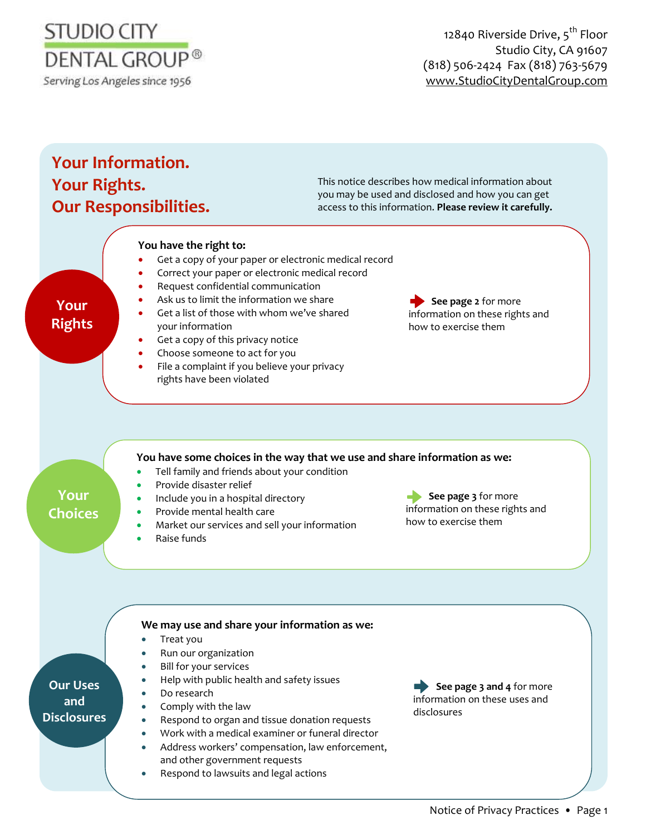**STUDIO CITY DENTAL GROUP<sup>®</sup>** Serving Los Angeles since 1956

12840 Riverside Drive, 5<sup>th</sup> Floor Studio City, CA 91607 (818) 506-2424 Fax (818) 763-5679 [www.StudioCityDentalGroup.com](http://www.studiocitydentalgroup.com/)

## **Your Information. Your Rights. Our Responsibilities.**

This notice describes how medical information about you may be used and disclosed and how you can get access to this information. **Please review it carefully.**

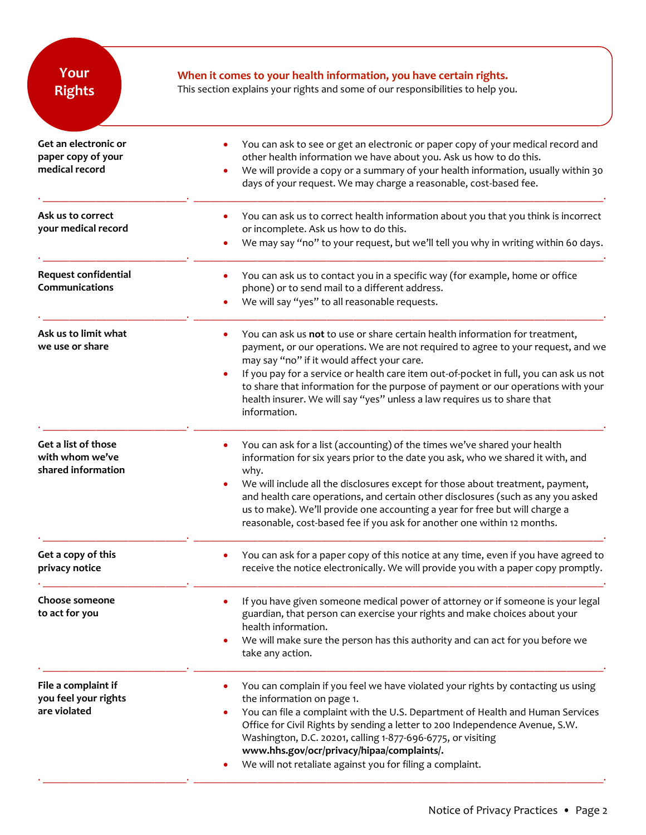| Your<br><b>Rights</b>                                        | When it comes to your health information, you have certain rights.<br>This section explains your rights and some of our responsibilities to help you.                                                                                                                                                                                                                                                                                                                                                |  |  |
|--------------------------------------------------------------|------------------------------------------------------------------------------------------------------------------------------------------------------------------------------------------------------------------------------------------------------------------------------------------------------------------------------------------------------------------------------------------------------------------------------------------------------------------------------------------------------|--|--|
| Get an electronic or<br>paper copy of your<br>medical record | You can ask to see or get an electronic or paper copy of your medical record and<br>other health information we have about you. Ask us how to do this.<br>We will provide a copy or a summary of your health information, usually within 30<br>days of your request. We may charge a reasonable, cost-based fee.                                                                                                                                                                                     |  |  |
| Ask us to correct<br>your medical record                     | You can ask us to correct health information about you that you think is incorrect<br>or incomplete. Ask us how to do this.<br>We may say "no" to your request, but we'll tell you why in writing within 60 days.                                                                                                                                                                                                                                                                                    |  |  |
| <b>Request confidential</b><br>Communications                | You can ask us to contact you in a specific way (for example, home or office<br>phone) or to send mail to a different address.<br>We will say "yes" to all reasonable requests.                                                                                                                                                                                                                                                                                                                      |  |  |
| Ask us to limit what<br>we use or share                      | You can ask us not to use or share certain health information for treatment,<br>payment, or our operations. We are not required to agree to your request, and we<br>may say "no" if it would affect your care.<br>If you pay for a service or health care item out-of-pocket in full, you can ask us not<br>to share that information for the purpose of payment or our operations with your<br>health insurer. We will say "yes" unless a law requires us to share that<br>information.             |  |  |
| Get a list of those<br>with whom we've<br>shared information | You can ask for a list (accounting) of the times we've shared your health<br>information for six years prior to the date you ask, who we shared it with, and<br>why.<br>We will include all the disclosures except for those about treatment, payment,<br>and health care operations, and certain other disclosures (such as any you asked<br>us to make). We'll provide one accounting a year for free but will charge a<br>reasonable, cost-based fee if you ask for another one within 12 months. |  |  |
| Get a copy of this<br>privacy notice                         | You can ask for a paper copy of this notice at any time, even if you have agreed to<br>receive the notice electronically. We will provide you with a paper copy promptly.                                                                                                                                                                                                                                                                                                                            |  |  |
| Choose someone<br>to act for you                             | If you have given someone medical power of attorney or if someone is your legal<br>guardian, that person can exercise your rights and make choices about your<br>health information.<br>We will make sure the person has this authority and can act for you before we<br>take any action.                                                                                                                                                                                                            |  |  |
| File a complaint if<br>you feel your rights<br>are violated  | You can complain if you feel we have violated your rights by contacting us using<br>the information on page 1.<br>You can file a complaint with the U.S. Department of Health and Human Services<br>Office for Civil Rights by sending a letter to 200 Independence Avenue, S.W.<br>Washington, D.C. 20201, calling 1-877-696-6775, or visiting<br>www.hhs.gov/ocr/privacy/hipaa/complaints/.<br>We will not retaliate against you for filing a complaint.                                           |  |  |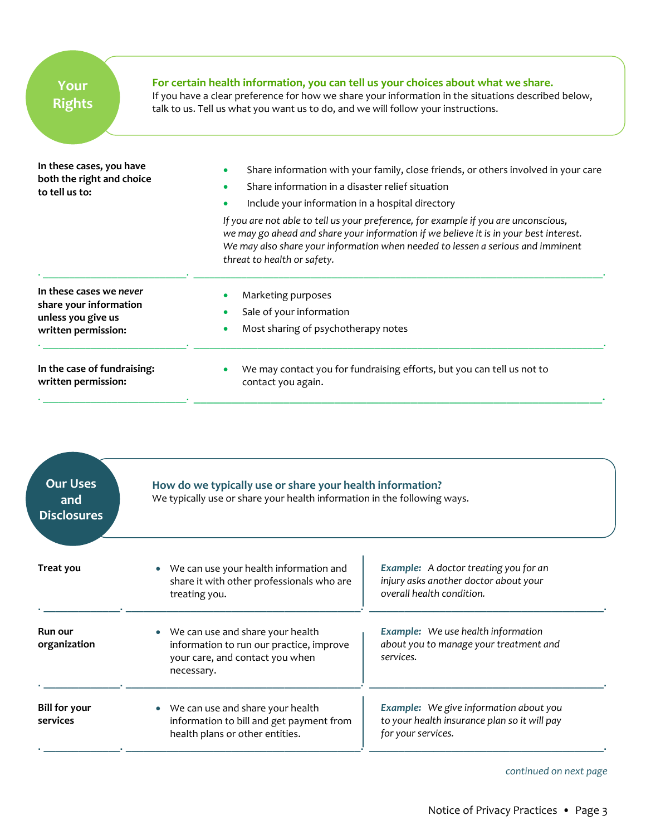| Your<br><b>Rights</b>                                                                          | For certain health information, you can tell us your choices about what we share.<br>If you have a clear preference for how we share your information in the situations described below,<br>talk to us. Tell us what you want us to do, and we will follow your instructions.                                                                                                                                                                                                                |  |  |
|------------------------------------------------------------------------------------------------|----------------------------------------------------------------------------------------------------------------------------------------------------------------------------------------------------------------------------------------------------------------------------------------------------------------------------------------------------------------------------------------------------------------------------------------------------------------------------------------------|--|--|
| In these cases, you have<br>both the right and choice<br>to tell us to:                        | Share information with your family, close friends, or others involved in your care<br>Share information in a disaster relief situation<br>Include your information in a hospital directory<br>If you are not able to tell us your preference, for example if you are unconscious,<br>we may go ahead and share your information if we believe it is in your best interest.<br>We may also share your information when needed to lessen a serious and imminent<br>threat to health or safety. |  |  |
| In these cases we never<br>share your information<br>unless you give us<br>written permission: | Marketing purposes<br>Sale of your information<br>Most sharing of psychotherapy notes                                                                                                                                                                                                                                                                                                                                                                                                        |  |  |
| In the case of fundraising:<br>written permission:                                             | We may contact you for fundraising efforts, but you can tell us not to<br>contact you again.                                                                                                                                                                                                                                                                                                                                                                                                 |  |  |

| <b>Our Uses</b><br>and<br><b>Disclosures</b> | How do we typically use or share your health information?<br>We typically use or share your health information in the following ways. |                                                                                                              |
|----------------------------------------------|---------------------------------------------------------------------------------------------------------------------------------------|--------------------------------------------------------------------------------------------------------------|
| Treat you                                    | We can use your health information and<br>share it with other professionals who are<br>treating you.                                  | Example: A doctor treating you for an<br>injury asks another doctor about your<br>overall health condition.  |
| Run our<br>organization                      | We can use and share your health<br>information to run our practice, improve<br>your care, and contact you when<br>necessary.         | Example: We use health information<br>about you to manage your treatment and<br>services.                    |
| <b>Bill for your</b><br>services             | We can use and share your health<br>information to bill and get payment from<br>health plans or other entities.                       | Example: We give information about you<br>to your health insurance plan so it will pay<br>for your services. |

*continued on next page*